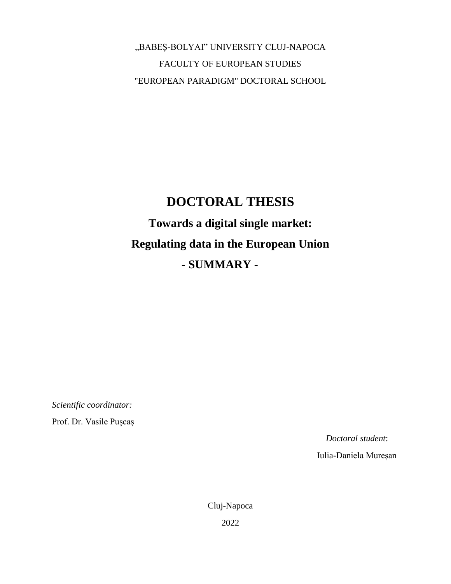"BABEŞ-BOLYAI" UNIVERSITY CLUJ-NAPOCA FACULTY OF EUROPEAN STUDIES "EUROPEAN PARADIGM" DOCTORAL SCHOOL

## **DOCTORAL THESIS Towards a digital single market: Regulating data in the European Union - SUMMARY -**

*Scientific coordinator:*

Prof. Dr. Vasile Pușcaș

*Doctoral student*:

Iulia-Daniela Mureșan

Cluj-Napoca 2022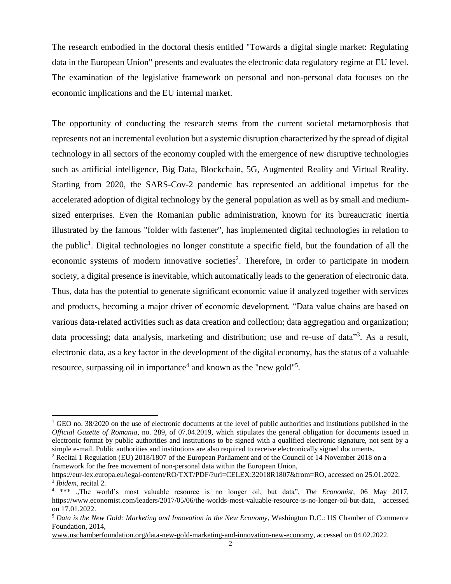The research embodied in the doctoral thesis entitled "Towards a digital single market: Regulating data in the European Union" presents and evaluates the electronic data regulatory regime at EU level. The examination of the legislative framework on personal and non-personal data focuses on the economic implications and the EU internal market.

The opportunity of conducting the research stems from the current societal metamorphosis that represents not an incremental evolution but a systemic disruption characterized by the spread of digital technology in all sectors of the economy coupled with the emergence of new disruptive technologies such as artificial intelligence, Big Data, Blockchain, 5G, Augmented Reality and Virtual Reality. Starting from 2020, the SARS-Cov-2 pandemic has represented an additional impetus for the accelerated adoption of digital technology by the general population as well as by small and mediumsized enterprises. Even the Romanian public administration, known for its bureaucratic inertia illustrated by the famous "folder with fastener", has implemented digital technologies in relation to the public<sup>1</sup>. Digital technologies no longer constitute a specific field, but the foundation of all the economic systems of modern innovative societies<sup>2</sup>. Therefore, in order to participate in modern society, a digital presence is inevitable, which automatically leads to the generation of electronic data. Thus, data has the potential to generate significant economic value if analyzed together with services and products, becoming a major driver of economic development. "Data value chains are based on various data-related activities such as data creation and collection; data aggregation and organization; data processing; data analysis, marketing and distribution; use and re-use of data<sup>33</sup>. As a result, electronic data, as a key factor in the development of the digital economy, has the status of a valuable resource, surpassing oil in importance<sup>4</sup> and known as the "new gold"<sup>5</sup>.

 $\overline{a}$ 

 $1$  GEO no. 38/2020 on the use of electronic documents at the level of public authorities and institutions published in the *Official Gazette of Romania*, no. 289, of 07.04.2019, which stipulates the general obligation for documents issued in electronic format by public authorities and institutions to be signed with a qualified electronic signature, not sent by a simple e-mail. Public authorities and institutions are also required to receive electronically signed documents.

<sup>2</sup> Recital 1 Regulation (EU) 2018/1807 of the European Parliament and of the Council of 14 November 2018 on a framework for the free movement of non-personal data within the European Union,

[https://eur-lex.europa.eu/legal-content/RO/TXT/PDF/?uri=CELEX:32018R1807&from=RO,](https://eur-lex.europa.eu/legal-content/RO/TXT/PDF/?uri=CELEX:32018R1807&from=RO) accessed on 25.01.2022. 3 *Ibidem*, recital 2.

<sup>4</sup> \*\*\* "The world's most valuable resource is no longer oil, but data", *The Economist*, 06 May 2017, [https://www.economist.com/leaders/2017/05/06/the-worlds-most-valuable-resource-is-no-longer-oil-but-data,](https://www.economist.com/leaders/2017/05/06/the-worlds-most-valuable-resource-is-no-longer-oil-but-data) accessed on 17.01.2022.

<sup>5</sup> *Data is the New Gold: Marketing and Innovation in the New Economy*, Washington D.C.: US Chamber of Commerce Foundation, 2014,

[www.uschamberfoundation.org/data-new-gold-marketing-and-innovation-new-economy,](http://www.uschamberfoundation.org/data-new-gold-marketing-and-innovation-new-economy) accessed on 04.02.2022.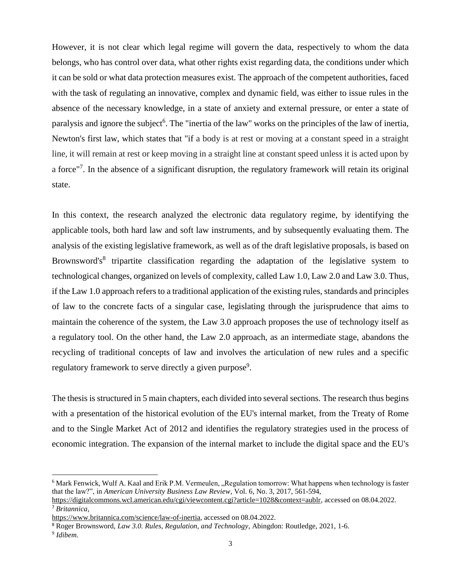However, it is not clear which legal regime will govern the data, respectively to whom the data belongs, who has control over data, what other rights exist regarding data, the conditions under which it can be sold or what data protection measures exist. The approach of the competent authorities, faced with the task of regulating an innovative, complex and dynamic field, was either to issue rules in the absence of the necessary knowledge, in a state of anxiety and external pressure, or enter a state of paralysis and ignore the subject<sup>6</sup>. The "inertia of the law" works on the principles of the law of inertia, Newton's first law, which states that "if a body is at rest or moving at a constant speed in a straight line, it will remain at rest or keep moving in a straight line at constant speed unless it is acted upon by a force"<sup>7</sup>. In the absence of a significant disruption, the regulatory framework will retain its original state.

In this context, the research analyzed the electronic data regulatory regime, by identifying the applicable tools, both hard law and soft law instruments, and by subsequently evaluating them. The analysis of the existing legislative framework, as well as of the draft legislative proposals, is based on Brownsword's<sup>8</sup> tripartite classification regarding the adaptation of the legislative system to technological changes, organized on levels of complexity, called Law 1.0, Law 2.0 and Law 3.0. Thus, if the Law 1.0 approach refers to a traditional application of the existing rules, standards and principles of law to the concrete facts of a singular case, legislating through the jurisprudence that aims to maintain the coherence of the system, the Law 3.0 approach proposes the use of technology itself as a regulatory tool. On the other hand, the Law 2.0 approach, as an intermediate stage, abandons the recycling of traditional concepts of law and involves the articulation of new rules and a specific regulatory framework to serve directly a given purpose<sup>9</sup>.

The thesis is structured in 5 main chapters, each divided into several sections. The research thus begins with a presentation of the historical evolution of the EU's internal market, from the Treaty of Rome and to the Single Market Act of 2012 and identifies the regulatory strategies used in the process of economic integration. The expansion of the internal market to include the digital space and the EU's

<sup>&</sup>lt;sup>6</sup> Mark Fenwick, Wulf A. Kaal and Erik P.M. Vermeulen, "Regulation tomorrow: What happens when technology is faster that the law?", in *American University Business Law Review*, Vol. 6, No. 3, 2017, 561-594,

[https://digitalcommons.wcl.american.edu/cgi/viewcontent.cgi?article=1028&context=aublr,](https://digitalcommons.wcl.american.edu/cgi/viewcontent.cgi?article=1028&context=aublr) accessed on 08.04.2022. <sup>7</sup> *Britannica*,

[https://www.britannica.com/science/law-of-inertia,](https://www.britannica.com/science/law-of-inertia) accessed on 08.04.2022.

<sup>8</sup> Roger Brownsword, *Law 3.0. Rules, Regulation, and Technology*, Abingdon: Routledge, 2021, 1-6.

<sup>9</sup> *Idibem*.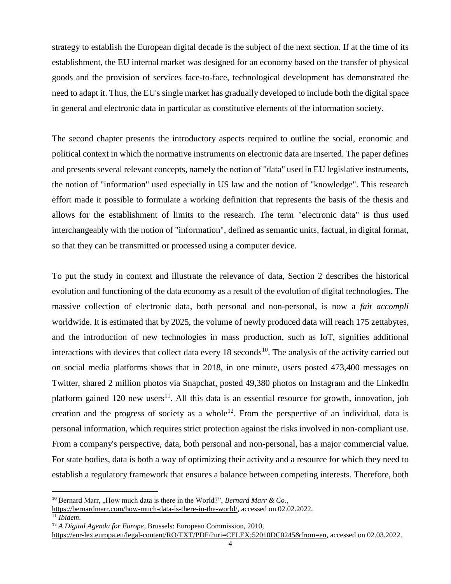strategy to establish the European digital decade is the subject of the next section. If at the time of its establishment, the EU internal market was designed for an economy based on the transfer of physical goods and the provision of services face-to-face, technological development has demonstrated the need to adapt it. Thus, the EU's single market has gradually developed to include both the digital space in general and electronic data in particular as constitutive elements of the information society.

The second chapter presents the introductory aspects required to outline the social, economic and political context in which the normative instruments on electronic data are inserted. The paper defines and presents several relevant concepts, namely the notion of "data" used in EU legislative instruments, the notion of "information" used especially in US law and the notion of "knowledge". This research effort made it possible to formulate a working definition that represents the basis of the thesis and allows for the establishment of limits to the research. The term "electronic data" is thus used interchangeably with the notion of "information", defined as semantic units, factual, in digital format, so that they can be transmitted or processed using a computer device.

To put the study in context and illustrate the relevance of data, Section 2 describes the historical evolution and functioning of the data economy as a result of the evolution of digital technologies. The massive collection of electronic data, both personal and non-personal, is now a *fait accompli* worldwide. It is estimated that by 2025, the volume of newly produced data will reach 175 zettabytes, and the introduction of new technologies in mass production, such as IoT, signifies additional interactions with devices that collect data every  $18$  seconds<sup>10</sup>. The analysis of the activity carried out on social media platforms shows that in 2018, in one minute, users posted 473,400 messages on Twitter, shared 2 million photos via Snapchat, posted 49,380 photos on Instagram and the LinkedIn platform gained 120 new users<sup>11</sup>. All this data is an essential resource for growth, innovation, job creation and the progress of society as a whole<sup>12</sup>. From the perspective of an individual, data is personal information, which requires strict protection against the risks involved in non-compliant use. From a company's perspective, data, both personal and non-personal, has a major commercial value. For state bodies, data is both a way of optimizing their activity and a resource for which they need to establish a regulatory framework that ensures a balance between competing interests. Therefore, both

<sup>&</sup>lt;sup>10</sup> Bernard Marr, ..How much data is there in the World?", *Bernard Marr & Co.*,

[https://bernardmarr.com/how-much-data-is-there-in-the-world/,](https://bernardmarr.com/how-much-data-is-there-in-the-world/) accessed on 02.02.2022.

<sup>11</sup> *Ibidem*.

<sup>12</sup> *A Digital Agenda for Europe*, Brussels: European Commission, 2010,

[https://eur-lex.europa.eu/legal-content/RO/TXT/PDF/?uri=CELEX:52010DC0245&from=en,](https://eur-lex.europa.eu/legal-content/RO/TXT/PDF/?uri=CELEX:52010DC0245&from=en) accessed on 02.03.2022.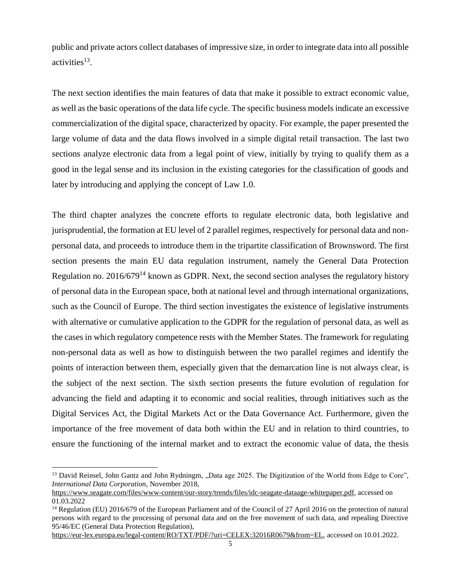public and private actors collect databases of impressive size, in order to integrate data into all possible activities<sup>13</sup>.

The next section identifies the main features of data that make it possible to extract economic value, as well as the basic operations of the data life cycle. The specific business models indicate an excessive commercialization of the digital space, characterized by opacity. For example, the paper presented the large volume of data and the data flows involved in a simple digital retail transaction. The last two sections analyze electronic data from a legal point of view, initially by trying to qualify them as a good in the legal sense and its inclusion in the existing categories for the classification of goods and later by introducing and applying the concept of Law 1.0.

The third chapter analyzes the concrete efforts to regulate electronic data, both legislative and jurisprudential, the formation at EU level of 2 parallel regimes, respectively for personal data and nonpersonal data, and proceeds to introduce them in the tripartite classification of Brownsword. The first section presents the main EU data regulation instrument, namely the General Data Protection Regulation no.  $2016/679^{14}$  known as GDPR. Next, the second section analyses the regulatory history of personal data in the European space, both at national level and through international organizations, such as the Council of Europe. The third section investigates the existence of legislative instruments with alternative or cumulative application to the GDPR for the regulation of personal data, as well as the cases in which regulatory competence rests with the Member States. The framework for regulating non-personal data as well as how to distinguish between the two parallel regimes and identify the points of interaction between them, especially given that the demarcation line is not always clear, is the subject of the next section. The sixth section presents the future evolution of regulation for advancing the field and adapting it to economic and social realities, through initiatives such as the Digital Services Act, the Digital Markets Act or the Data Governance Act. Furthermore, given the importance of the free movement of data both within the EU and in relation to third countries, to ensure the functioning of the internal market and to extract the economic value of data, the thesis

<sup>&</sup>lt;sup>13</sup> David Reinsel, John Gantz and John Rydningm, "Data age 2025. The Digitization of the World from Edge to Core", *International Data Corporation*, November 2018,

[https://www.seagate.com/files/www-content/our-story/trends/files/idc-seagate-dataage-whitepaper.pdf,](https://www.seagate.com/files/www-content/our-story/trends/files/idc-seagate-dataage-whitepaper.pdf) accessed on 01.03.2022

<sup>14</sup> Regulation (EU) 2016/679 of the European Parliament and of the Council of 27 April 2016 on the protection of natural persons with regard to the processing of personal data and on the free movement of such data, and repealing Directive 95/46/EC (General Data Protection Regulation),

[https://eur-lex.europa.eu/legal-content/RO/TXT/PDF/?uri=CELEX:32016R0679&from=EL,](https://eur-lex.europa.eu/legal-content/RO/TXT/PDF/?uri=CELEX:32016R0679&from=EL) accessed on 10.01.2022.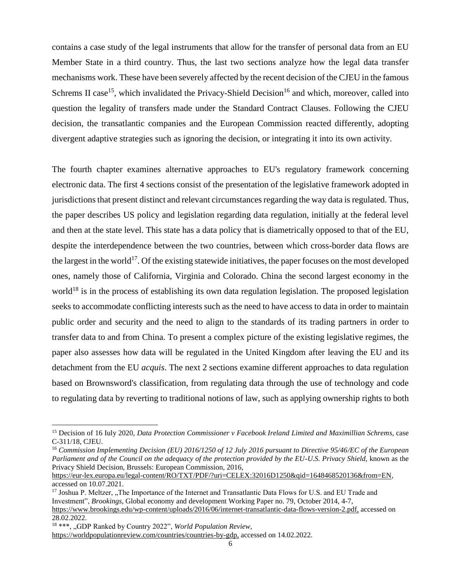contains a case study of the legal instruments that allow for the transfer of personal data from an EU Member State in a third country. Thus, the last two sections analyze how the legal data transfer mechanisms work. These have been severely affected by the recent decision of the CJEU in the famous Schrems II case<sup>15</sup>, which invalidated the Privacy-Shield Decision<sup>16</sup> and which, moreover, called into question the legality of transfers made under the Standard Contract Clauses. Following the CJEU decision, the transatlantic companies and the European Commission reacted differently, adopting divergent adaptive strategies such as ignoring the decision, or integrating it into its own activity.

The fourth chapter examines alternative approaches to EU's regulatory framework concerning electronic data. The first 4 sections consist of the presentation of the legislative framework adopted in jurisdictions that present distinct and relevant circumstances regarding the way data is regulated. Thus, the paper describes US policy and legislation regarding data regulation, initially at the federal level and then at the state level. This state has a data policy that is diametrically opposed to that of the EU, despite the interdependence between the two countries, between which cross-border data flows are the largest in the world<sup>17</sup>. Of the existing statewide initiatives, the paper focuses on the most developed ones, namely those of California, Virginia and Colorado. China the second largest economy in the world<sup>18</sup> is in the process of establishing its own data regulation legislation. The proposed legislation seeks to accommodate conflicting interests such as the need to have access to data in order to maintain public order and security and the need to align to the standards of its trading partners in order to transfer data to and from China. To present a complex picture of the existing legislative regimes, the paper also assesses how data will be regulated in the United Kingdom after leaving the EU and its detachment from the EU *acquis*. The next 2 sections examine different approaches to data regulation based on Brownsword's classification, from regulating data through the use of technology and code to regulating data by reverting to traditional notions of law, such as applying ownership rights to both

<sup>&</sup>lt;sup>15</sup> Decision of 16 Iuly 2020, *Data Protection Commissioner v Facebook Ireland Limited and Maximillian Schrems, case* C-311/18, CJEU.

<sup>16</sup> *Commission Implementing Decision (EU) 2016/1250 of 12 July 2016 pursuant to Directive 95/46/EC of the European Parliament and of the Council on the adequacy of the protection provided by the EU-U.S. Privacy Shield*, known as the Privacy Shield Decision, Brussels: European Commission, 2016,

[https://eur-lex.europa.eu/legal-content/RO/TXT/PDF/?uri=CELEX:32016D1250&qid=1648468520136&from=EN,](https://eur-lex.europa.eu/legal-content/RO/TXT/PDF/?uri=CELEX:32016D1250&qid=1648468520136&from=EN) accessed on 10.07.2021.

<sup>&</sup>lt;sup>17</sup> Joshua P. Meltzer, "The Importance of the Internet and Transatlantic Data Flows for U.S. and EU Trade and Investment", *Brookings*, Global economy and development Working Paper no. 79, October 2014, 4-7,

[https://www.brookings.edu/wp-content/uploads/2016/06/internet-transatlantic-data-flows-version-2.pdf,](https://www.brookings.edu/wp-content/uploads/2016/06/internet-transatlantic-data-flows-version-2.pdf) accessed on 28.02.2022.

<sup>&</sup>lt;sup>18</sup> \*\*\*, "GDP Ranked by Country 2022", *World Population Review*,

[https://worldpopulationreview.com/countries/countries-by-gdp,](https://worldpopulationreview.com/countries/countries-by-gdp) accessed on 14.02.2022.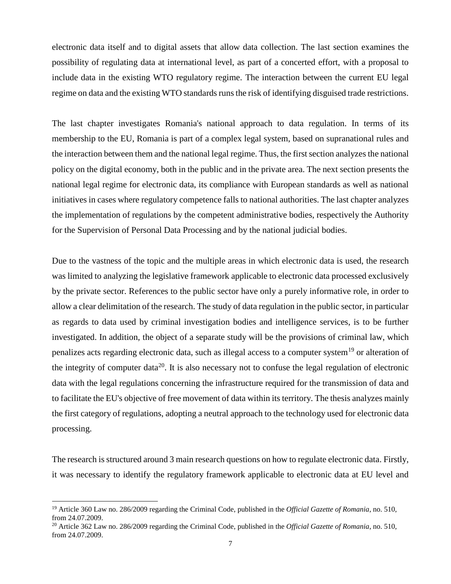electronic data itself and to digital assets that allow data collection. The last section examines the possibility of regulating data at international level, as part of a concerted effort, with a proposal to include data in the existing WTO regulatory regime. The interaction between the current EU legal regime on data and the existing WTO standards runs the risk of identifying disguised trade restrictions.

The last chapter investigates Romania's national approach to data regulation. In terms of its membership to the EU, Romania is part of a complex legal system, based on supranational rules and the interaction between them and the national legal regime. Thus, the first section analyzes the national policy on the digital economy, both in the public and in the private area. The next section presents the national legal regime for electronic data, its compliance with European standards as well as national initiatives in cases where regulatory competence falls to national authorities. The last chapter analyzes the implementation of regulations by the competent administrative bodies, respectively the Authority for the Supervision of Personal Data Processing and by the national judicial bodies.

Due to the vastness of the topic and the multiple areas in which electronic data is used, the research was limited to analyzing the legislative framework applicable to electronic data processed exclusively by the private sector. References to the public sector have only a purely informative role, in order to allow a clear delimitation of the research. The study of data regulation in the public sector, in particular as regards to data used by criminal investigation bodies and intelligence services, is to be further investigated. In addition, the object of a separate study will be the provisions of criminal law, which penalizes acts regarding electronic data, such as illegal access to a computer system<sup>19</sup> or alteration of the integrity of computer data<sup>20</sup>. It is also necessary not to confuse the legal regulation of electronic data with the legal regulations concerning the infrastructure required for the transmission of data and to facilitate the EU's objective of free movement of data within its territory. The thesis analyzes mainly the first category of regulations, adopting a neutral approach to the technology used for electronic data processing.

The research is structured around 3 main research questions on how to regulate electronic data. Firstly, it was necessary to identify the regulatory framework applicable to electronic data at EU level and

<sup>19</sup> Article 360 Law no. 286/2009 regarding the Criminal Code, published in the *Official Gazette of Romania*, no. 510, from 24.07.2009.

<sup>20</sup> Article 362 Law no. 286/2009 regarding the Criminal Code, published in the *Official Gazette of Romania*, no. 510, from 24.07.2009.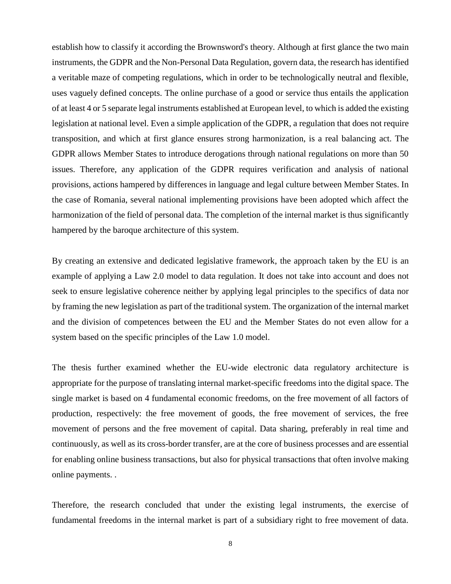establish how to classify it according the Brownsword's theory. Although at first glance the two main instruments, the GDPR and the Non-Personal Data Regulation, govern data, the research has identified a veritable maze of competing regulations, which in order to be technologically neutral and flexible, uses vaguely defined concepts. The online purchase of a good or service thus entails the application of at least 4 or 5 separate legal instruments established at European level, to which is added the existing legislation at national level. Even a simple application of the GDPR, a regulation that does not require transposition, and which at first glance ensures strong harmonization, is a real balancing act. The GDPR allows Member States to introduce derogations through national regulations on more than 50 issues. Therefore, any application of the GDPR requires verification and analysis of national provisions, actions hampered by differences in language and legal culture between Member States. In the case of Romania, several national implementing provisions have been adopted which affect the harmonization of the field of personal data. The completion of the internal market is thus significantly hampered by the baroque architecture of this system.

By creating an extensive and dedicated legislative framework, the approach taken by the EU is an example of applying a Law 2.0 model to data regulation. It does not take into account and does not seek to ensure legislative coherence neither by applying legal principles to the specifics of data nor by framing the new legislation as part of the traditional system. The organization of the internal market and the division of competences between the EU and the Member States do not even allow for a system based on the specific principles of the Law 1.0 model.

The thesis further examined whether the EU-wide electronic data regulatory architecture is appropriate for the purpose of translating internal market-specific freedoms into the digital space. The single market is based on 4 fundamental economic freedoms, on the free movement of all factors of production, respectively: the free movement of goods, the free movement of services, the free movement of persons and the free movement of capital. Data sharing, preferably in real time and continuously, as well as its cross-border transfer, are at the core of business processes and are essential for enabling online business transactions, but also for physical transactions that often involve making online payments. .

Therefore, the research concluded that under the existing legal instruments, the exercise of fundamental freedoms in the internal market is part of a subsidiary right to free movement of data.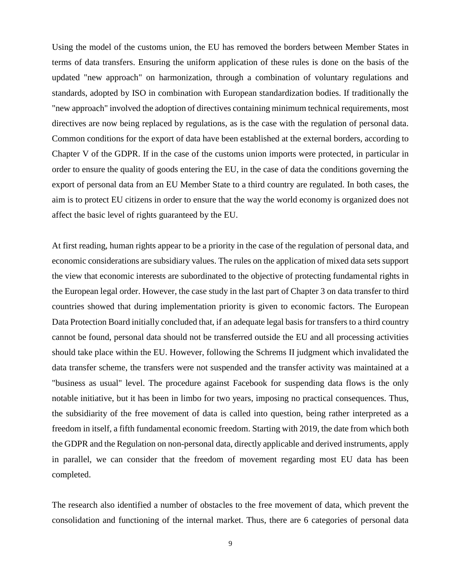Using the model of the customs union, the EU has removed the borders between Member States in terms of data transfers. Ensuring the uniform application of these rules is done on the basis of the updated "new approach" on harmonization, through a combination of voluntary regulations and standards, adopted by ISO in combination with European standardization bodies. If traditionally the "new approach" involved the adoption of directives containing minimum technical requirements, most directives are now being replaced by regulations, as is the case with the regulation of personal data. Common conditions for the export of data have been established at the external borders, according to Chapter V of the GDPR. If in the case of the customs union imports were protected, in particular in order to ensure the quality of goods entering the EU, in the case of data the conditions governing the export of personal data from an EU Member State to a third country are regulated. In both cases, the aim is to protect EU citizens in order to ensure that the way the world economy is organized does not affect the basic level of rights guaranteed by the EU.

At first reading, human rights appear to be a priority in the case of the regulation of personal data, and economic considerations are subsidiary values. The rules on the application of mixed data sets support the view that economic interests are subordinated to the objective of protecting fundamental rights in the European legal order. However, the case study in the last part of Chapter 3 on data transfer to third countries showed that during implementation priority is given to economic factors. The European Data Protection Board initially concluded that, if an adequate legal basis for transfers to a third country cannot be found, personal data should not be transferred outside the EU and all processing activities should take place within the EU. However, following the Schrems II judgment which invalidated the data transfer scheme, the transfers were not suspended and the transfer activity was maintained at a "business as usual" level. The procedure against Facebook for suspending data flows is the only notable initiative, but it has been in limbo for two years, imposing no practical consequences. Thus, the subsidiarity of the free movement of data is called into question, being rather interpreted as a freedom in itself, a fifth fundamental economic freedom. Starting with 2019, the date from which both the GDPR and the Regulation on non-personal data, directly applicable and derived instruments, apply in parallel, we can consider that the freedom of movement regarding most EU data has been completed.

The research also identified a number of obstacles to the free movement of data, which prevent the consolidation and functioning of the internal market. Thus, there are 6 categories of personal data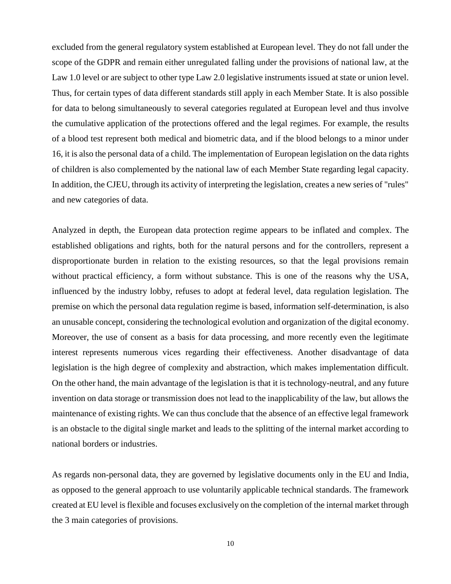excluded from the general regulatory system established at European level. They do not fall under the scope of the GDPR and remain either unregulated falling under the provisions of national law, at the Law 1.0 level or are subject to other type Law 2.0 legislative instruments issued at state or union level. Thus, for certain types of data different standards still apply in each Member State. It is also possible for data to belong simultaneously to several categories regulated at European level and thus involve the cumulative application of the protections offered and the legal regimes. For example, the results of a blood test represent both medical and biometric data, and if the blood belongs to a minor under 16, it is also the personal data of a child. The implementation of European legislation on the data rights of children is also complemented by the national law of each Member State regarding legal capacity. In addition, the CJEU, through its activity of interpreting the legislation, creates a new series of "rules" and new categories of data.

Analyzed in depth, the European data protection regime appears to be inflated and complex. The established obligations and rights, both for the natural persons and for the controllers, represent a disproportionate burden in relation to the existing resources, so that the legal provisions remain without practical efficiency, a form without substance. This is one of the reasons why the USA, influenced by the industry lobby, refuses to adopt at federal level, data regulation legislation. The premise on which the personal data regulation regime is based, information self-determination, is also an unusable concept, considering the technological evolution and organization of the digital economy. Moreover, the use of consent as a basis for data processing, and more recently even the legitimate interest represents numerous vices regarding their effectiveness. Another disadvantage of data legislation is the high degree of complexity and abstraction, which makes implementation difficult. On the other hand, the main advantage of the legislation is that it is technology-neutral, and any future invention on data storage or transmission does not lead to the inapplicability of the law, but allows the maintenance of existing rights. We can thus conclude that the absence of an effective legal framework is an obstacle to the digital single market and leads to the splitting of the internal market according to national borders or industries.

As regards non-personal data, they are governed by legislative documents only in the EU and India, as opposed to the general approach to use voluntarily applicable technical standards. The framework created at EU level is flexible and focuses exclusively on the completion of the internal market through the 3 main categories of provisions.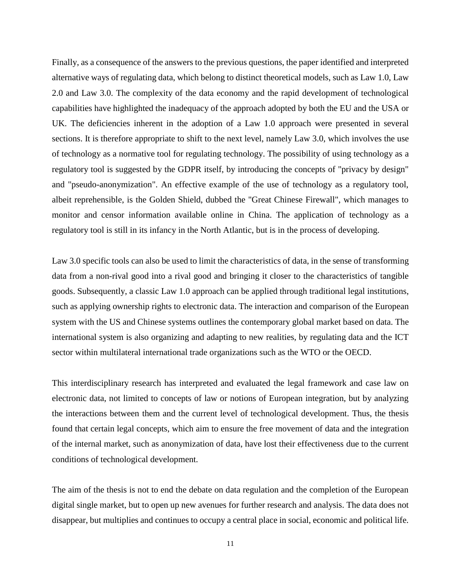Finally, as a consequence of the answers to the previous questions, the paper identified and interpreted alternative ways of regulating data, which belong to distinct theoretical models, such as Law 1.0, Law 2.0 and Law 3.0. The complexity of the data economy and the rapid development of technological capabilities have highlighted the inadequacy of the approach adopted by both the EU and the USA or UK. The deficiencies inherent in the adoption of a Law 1.0 approach were presented in several sections. It is therefore appropriate to shift to the next level, namely Law 3.0, which involves the use of technology as a normative tool for regulating technology. The possibility of using technology as a regulatory tool is suggested by the GDPR itself, by introducing the concepts of "privacy by design" and "pseudo-anonymization". An effective example of the use of technology as a regulatory tool, albeit reprehensible, is the Golden Shield, dubbed the "Great Chinese Firewall", which manages to monitor and censor information available online in China. The application of technology as a regulatory tool is still in its infancy in the North Atlantic, but is in the process of developing.

Law 3.0 specific tools can also be used to limit the characteristics of data, in the sense of transforming data from a non-rival good into a rival good and bringing it closer to the characteristics of tangible goods. Subsequently, a classic Law 1.0 approach can be applied through traditional legal institutions, such as applying ownership rights to electronic data. The interaction and comparison of the European system with the US and Chinese systems outlines the contemporary global market based on data. The international system is also organizing and adapting to new realities, by regulating data and the ICT sector within multilateral international trade organizations such as the WTO or the OECD.

This interdisciplinary research has interpreted and evaluated the legal framework and case law on electronic data, not limited to concepts of law or notions of European integration, but by analyzing the interactions between them and the current level of technological development. Thus, the thesis found that certain legal concepts, which aim to ensure the free movement of data and the integration of the internal market, such as anonymization of data, have lost their effectiveness due to the current conditions of technological development.

The aim of the thesis is not to end the debate on data regulation and the completion of the European digital single market, but to open up new avenues for further research and analysis. The data does not disappear, but multiplies and continues to occupy a central place in social, economic and political life.